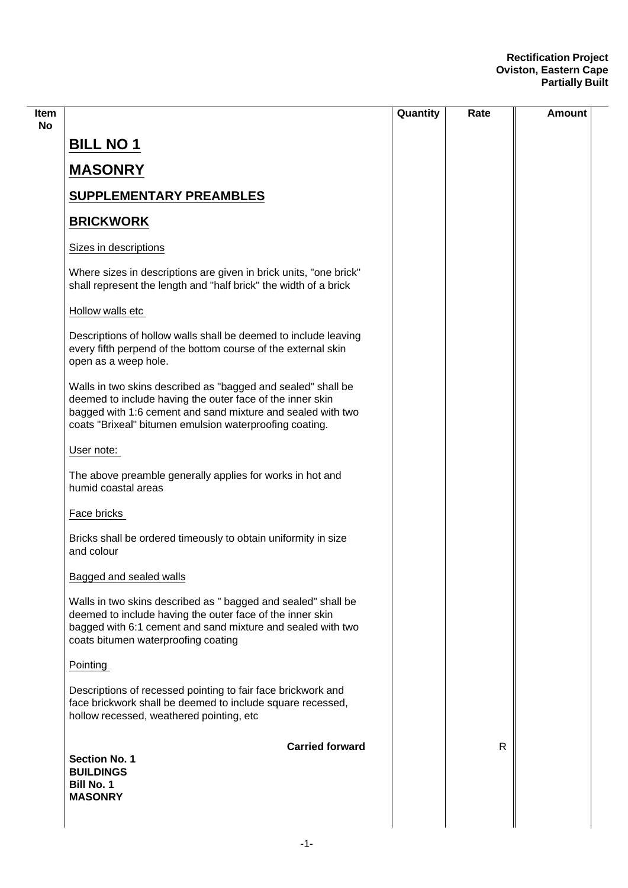|                                                                                 |                                                                                                                                                                                                                                                     | Quantity | Rate | Amount |
|---------------------------------------------------------------------------------|-----------------------------------------------------------------------------------------------------------------------------------------------------------------------------------------------------------------------------------------------------|----------|------|--------|
| <b>BILL NO 1</b>                                                                |                                                                                                                                                                                                                                                     |          |      |        |
| <b>MASONRY</b>                                                                  |                                                                                                                                                                                                                                                     |          |      |        |
|                                                                                 | <b>SUPPLEMENTARY PREAMBLES</b>                                                                                                                                                                                                                      |          |      |        |
| <b>BRICKWORK</b>                                                                |                                                                                                                                                                                                                                                     |          |      |        |
| Sizes in descriptions                                                           |                                                                                                                                                                                                                                                     |          |      |        |
|                                                                                 | Where sizes in descriptions are given in brick units, "one brick"<br>shall represent the length and "half brick" the width of a brick                                                                                                               |          |      |        |
| Hollow walls etc                                                                |                                                                                                                                                                                                                                                     |          |      |        |
| open as a weep hole.                                                            | Descriptions of hollow walls shall be deemed to include leaving<br>every fifth perpend of the bottom course of the external skin                                                                                                                    |          |      |        |
|                                                                                 | Walls in two skins described as "bagged and sealed" shall be<br>deemed to include having the outer face of the inner skin<br>bagged with 1:6 cement and sand mixture and sealed with two<br>coats "Brixeal" bitumen emulsion waterproofing coating. |          |      |        |
| User note:                                                                      |                                                                                                                                                                                                                                                     |          |      |        |
| humid coastal areas                                                             | The above preamble generally applies for works in hot and                                                                                                                                                                                           |          |      |        |
| Face bricks                                                                     |                                                                                                                                                                                                                                                     |          |      |        |
| and colour                                                                      | Bricks shall be ordered timeously to obtain uniformity in size                                                                                                                                                                                      |          |      |        |
| Bagged and sealed walls                                                         |                                                                                                                                                                                                                                                     |          |      |        |
|                                                                                 | Walls in two skins described as " bagged and sealed" shall be<br>deemed to include having the outer face of the inner skin<br>bagged with 6:1 cement and sand mixture and sealed with two<br>coats bitumen waterproofing coating                    |          |      |        |
| Pointing                                                                        |                                                                                                                                                                                                                                                     |          |      |        |
|                                                                                 | Descriptions of recessed pointing to fair face brickwork and<br>face brickwork shall be deemed to include square recessed,<br>hollow recessed, weathered pointing, etc                                                                              |          |      |        |
| <b>Section No. 1</b><br><b>BUILDINGS</b><br><b>Bill No. 1</b><br><b>MASONRY</b> | <b>Carried forward</b>                                                                                                                                                                                                                              |          | R    |        |

 $\sim$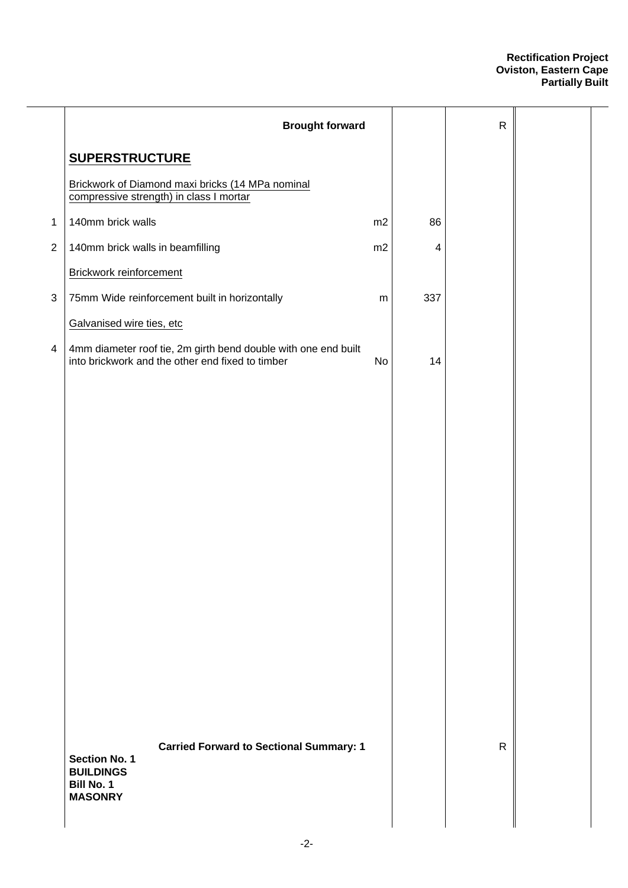| <b>Brought forward</b>                                                                                                            |    |     | $\mathsf{R}$ |  |
|-----------------------------------------------------------------------------------------------------------------------------------|----|-----|--------------|--|
| <b>SUPERSTRUCTURE</b>                                                                                                             |    |     |              |  |
| Brickwork of Diamond maxi bricks (14 MPa nominal<br>compressive strength) in class I mortar                                       |    |     |              |  |
| 140mm brick walls                                                                                                                 | m2 | 86  |              |  |
| 140mm brick walls in beamfilling                                                                                                  | m2 | 4   |              |  |
| Brickwork reinforcement                                                                                                           |    |     |              |  |
| 75mm Wide reinforcement built in horizontally                                                                                     | m  | 337 |              |  |
| Galvanised wire ties, etc                                                                                                         |    |     |              |  |
| 4mm diameter roof tie, 2m girth bend double with one end built<br>into brickwork and the other end fixed to timber                | No | 14  |              |  |
|                                                                                                                                   |    |     |              |  |
|                                                                                                                                   |    |     |              |  |
|                                                                                                                                   |    |     |              |  |
|                                                                                                                                   |    |     |              |  |
|                                                                                                                                   |    |     |              |  |
|                                                                                                                                   |    |     |              |  |
|                                                                                                                                   |    |     |              |  |
|                                                                                                                                   |    |     |              |  |
| <b>Carried Forward to Sectional Summary: 1</b><br><b>Section No. 1</b><br><b>BUILDINGS</b><br><b>Bill No. 1</b><br><b>MASONRY</b> |    |     | $\mathsf{R}$ |  |
|                                                                                                                                   |    |     |              |  |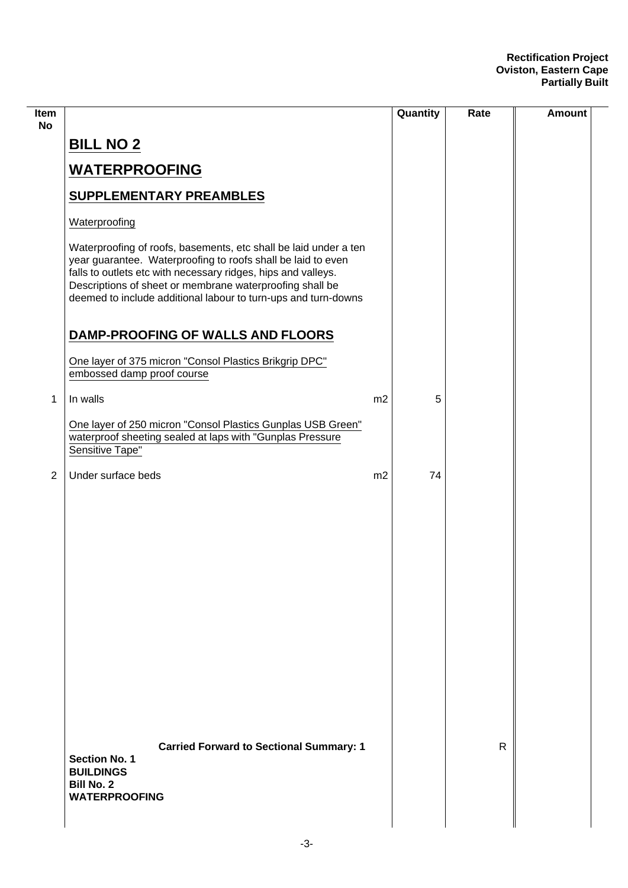| <b>Item</b><br><b>No</b> |                                                                                                                                                                                                                                                                                                                                 |                | Quantity | Rate         | Amount |
|--------------------------|---------------------------------------------------------------------------------------------------------------------------------------------------------------------------------------------------------------------------------------------------------------------------------------------------------------------------------|----------------|----------|--------------|--------|
|                          | <b>BILL NO 2</b>                                                                                                                                                                                                                                                                                                                |                |          |              |        |
|                          | <b>WATERPROOFING</b>                                                                                                                                                                                                                                                                                                            |                |          |              |        |
|                          | <b>SUPPLEMENTARY PREAMBLES</b>                                                                                                                                                                                                                                                                                                  |                |          |              |        |
|                          | Waterproofing                                                                                                                                                                                                                                                                                                                   |                |          |              |        |
|                          | Waterproofing of roofs, basements, etc shall be laid under a ten<br>year guarantee. Waterproofing to roofs shall be laid to even<br>falls to outlets etc with necessary ridges, hips and valleys.<br>Descriptions of sheet or membrane waterproofing shall be<br>deemed to include additional labour to turn-ups and turn-downs |                |          |              |        |
|                          | DAMP-PROOFING OF WALLS AND FLOORS                                                                                                                                                                                                                                                                                               |                |          |              |        |
|                          | One layer of 375 micron "Consol Plastics Brikgrip DPC"<br>embossed damp proof course                                                                                                                                                                                                                                            |                |          |              |        |
| 1                        | In walls                                                                                                                                                                                                                                                                                                                        | m <sub>2</sub> | 5        |              |        |
|                          | One layer of 250 micron "Consol Plastics Gunplas USB Green"<br>waterproof sheeting sealed at laps with "Gunplas Pressure<br>Sensitive Tape"                                                                                                                                                                                     |                |          |              |        |
| $\overline{2}$           | Under surface beds                                                                                                                                                                                                                                                                                                              | m2             | 74       |              |        |
|                          |                                                                                                                                                                                                                                                                                                                                 |                |          |              |        |
|                          | <b>Carried Forward to Sectional Summary: 1</b><br><b>Section No. 1</b><br><b>BUILDINGS</b><br><b>Bill No. 2</b><br><b>WATERPROOFING</b>                                                                                                                                                                                         |                |          | $\mathsf{R}$ |        |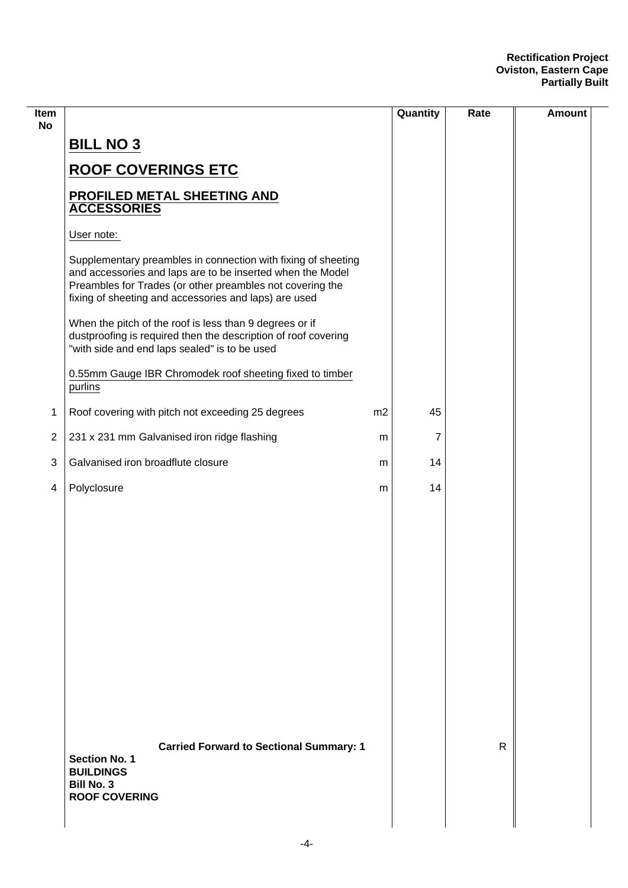| <b>BILL NO 3</b>                                                                                                                                                                                                                                  |    |    |              |  |
|---------------------------------------------------------------------------------------------------------------------------------------------------------------------------------------------------------------------------------------------------|----|----|--------------|--|
|                                                                                                                                                                                                                                                   |    |    |              |  |
| <b>ROOF COVERINGS ETC</b>                                                                                                                                                                                                                         |    |    |              |  |
| PROFILED METAL SHEETING AND<br><b>ACCESSORIES</b>                                                                                                                                                                                                 |    |    |              |  |
| User note:                                                                                                                                                                                                                                        |    |    |              |  |
| Supplementary preambles in connection with fixing of sheeting<br>and accessories and laps are to be inserted when the Model<br>Preambles for Trades (or other preambles not covering the<br>fixing of sheeting and accessories and laps) are used |    |    |              |  |
| When the pitch of the roof is less than 9 degrees or if<br>dustproofing is required then the description of roof covering<br>"with side and end laps sealed" is to be used                                                                        |    |    |              |  |
| 0.55mm Gauge IBR Chromodek roof sheeting fixed to timber<br>purlins                                                                                                                                                                               |    |    |              |  |
| Roof covering with pitch not exceeding 25 degrees                                                                                                                                                                                                 | m2 | 45 |              |  |
| 231 x 231 mm Galvanised iron ridge flashing                                                                                                                                                                                                       | m  | 7  |              |  |
| Galvanised iron broadflute closure                                                                                                                                                                                                                | m  | 14 |              |  |
| Polyclosure                                                                                                                                                                                                                                       | m  | 14 |              |  |
|                                                                                                                                                                                                                                                   |    |    |              |  |
|                                                                                                                                                                                                                                                   |    |    |              |  |
|                                                                                                                                                                                                                                                   |    |    |              |  |
|                                                                                                                                                                                                                                                   |    |    |              |  |
|                                                                                                                                                                                                                                                   |    |    |              |  |
|                                                                                                                                                                                                                                                   |    |    |              |  |
|                                                                                                                                                                                                                                                   |    |    |              |  |
|                                                                                                                                                                                                                                                   |    |    |              |  |
|                                                                                                                                                                                                                                                   |    |    |              |  |
| <b>Carried Forward to Sectional Summary: 1</b><br><b>Section No. 1</b><br><b>BUILDINGS</b><br><b>Bill No. 3</b><br><b>ROOF COVERING</b>                                                                                                           |    |    | $\mathsf{R}$ |  |
|                                                                                                                                                                                                                                                   |    |    |              |  |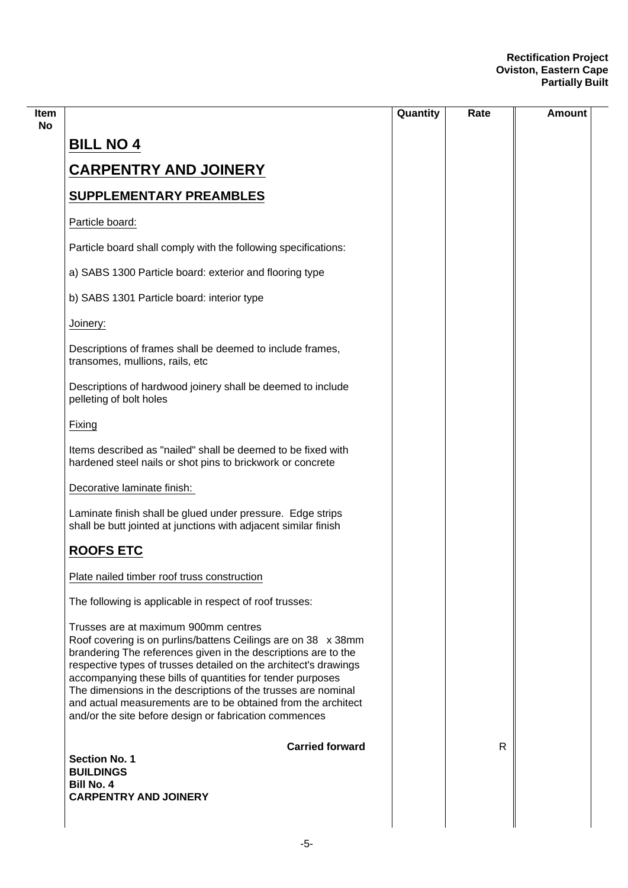|                                                                                                                                                                                                                                                                                                                                                                                                                                                                                                       | Quantity | Rate | Amount |
|-------------------------------------------------------------------------------------------------------------------------------------------------------------------------------------------------------------------------------------------------------------------------------------------------------------------------------------------------------------------------------------------------------------------------------------------------------------------------------------------------------|----------|------|--------|
| <b>BILL NO 4</b>                                                                                                                                                                                                                                                                                                                                                                                                                                                                                      |          |      |        |
| <b>CARPENTRY AND JOINERY</b>                                                                                                                                                                                                                                                                                                                                                                                                                                                                          |          |      |        |
| <b>SUPPLEMENTARY PREAMBLES</b>                                                                                                                                                                                                                                                                                                                                                                                                                                                                        |          |      |        |
| Particle board:                                                                                                                                                                                                                                                                                                                                                                                                                                                                                       |          |      |        |
| Particle board shall comply with the following specifications:                                                                                                                                                                                                                                                                                                                                                                                                                                        |          |      |        |
| a) SABS 1300 Particle board: exterior and flooring type                                                                                                                                                                                                                                                                                                                                                                                                                                               |          |      |        |
| b) SABS 1301 Particle board: interior type                                                                                                                                                                                                                                                                                                                                                                                                                                                            |          |      |        |
| Joinery:                                                                                                                                                                                                                                                                                                                                                                                                                                                                                              |          |      |        |
| Descriptions of frames shall be deemed to include frames,<br>transomes, mullions, rails, etc                                                                                                                                                                                                                                                                                                                                                                                                          |          |      |        |
| Descriptions of hardwood joinery shall be deemed to include<br>pelleting of bolt holes                                                                                                                                                                                                                                                                                                                                                                                                                |          |      |        |
| Fixing                                                                                                                                                                                                                                                                                                                                                                                                                                                                                                |          |      |        |
| Items described as "nailed" shall be deemed to be fixed with<br>hardened steel nails or shot pins to brickwork or concrete                                                                                                                                                                                                                                                                                                                                                                            |          |      |        |
| Decorative laminate finish:                                                                                                                                                                                                                                                                                                                                                                                                                                                                           |          |      |        |
| Laminate finish shall be glued under pressure. Edge strips<br>shall be butt jointed at junctions with adjacent similar finish                                                                                                                                                                                                                                                                                                                                                                         |          |      |        |
| <b>ROOFS ETC</b>                                                                                                                                                                                                                                                                                                                                                                                                                                                                                      |          |      |        |
| Plate nailed timber roof truss construction                                                                                                                                                                                                                                                                                                                                                                                                                                                           |          |      |        |
| The following is applicable in respect of roof trusses:                                                                                                                                                                                                                                                                                                                                                                                                                                               |          |      |        |
| Trusses are at maximum 900mm centres<br>Roof covering is on purlins/battens Ceilings are on 38 x 38mm<br>brandering The references given in the descriptions are to the<br>respective types of trusses detailed on the architect's drawings<br>accompanying these bills of quantities for tender purposes<br>The dimensions in the descriptions of the trusses are nominal<br>and actual measurements are to be obtained from the architect<br>and/or the site before design or fabrication commences |          |      |        |
| <b>Carried forward</b>                                                                                                                                                                                                                                                                                                                                                                                                                                                                                |          | R    |        |
| <b>Section No. 1</b><br><b>BUILDINGS</b>                                                                                                                                                                                                                                                                                                                                                                                                                                                              |          |      |        |
| <b>Bill No. 4</b><br><b>CARPENTRY AND JOINERY</b>                                                                                                                                                                                                                                                                                                                                                                                                                                                     |          |      |        |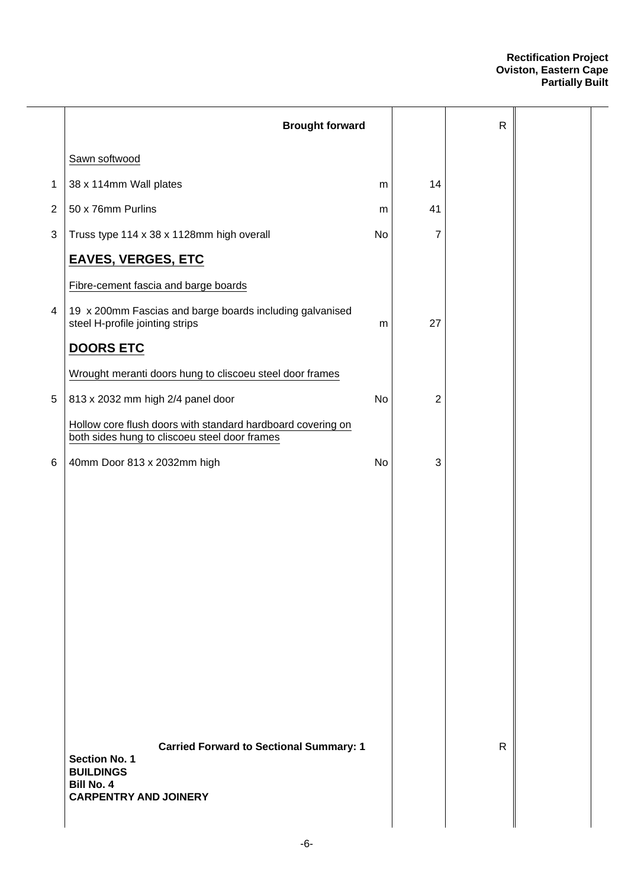|              | <b>Brought forward</b>                                                                                                                          |           |                | ${\sf R}$    |  |
|--------------|-------------------------------------------------------------------------------------------------------------------------------------------------|-----------|----------------|--------------|--|
|              | Sawn softwood                                                                                                                                   |           |                |              |  |
| 1            | 38 x 114mm Wall plates                                                                                                                          | m         | 14             |              |  |
| $\mathbf{2}$ | 50 x 76mm Purlins                                                                                                                               | m         | 41             |              |  |
| 3            | Truss type 114 x 38 x 1128mm high overall                                                                                                       | <b>No</b> | 7              |              |  |
|              | <b>EAVES, VERGES, ETC</b>                                                                                                                       |           |                |              |  |
|              | Fibre-cement fascia and barge boards                                                                                                            |           |                |              |  |
| 4            | 19 x 200mm Fascias and barge boards including galvanised<br>steel H-profile jointing strips                                                     | m         | 27             |              |  |
|              | <b>DOORS ETC</b>                                                                                                                                |           |                |              |  |
|              | Wrought meranti doors hung to cliscoeu steel door frames                                                                                        |           |                |              |  |
| $\,$ 5 $\,$  | 813 x 2032 mm high 2/4 panel door                                                                                                               | No        | $\overline{2}$ |              |  |
|              | Hollow core flush doors with standard hardboard covering on<br>both sides hung to cliscoeu steel door frames                                    |           |                |              |  |
| 6            | 40mm Door 813 x 2032mm high                                                                                                                     | No        | 3              |              |  |
|              |                                                                                                                                                 |           |                |              |  |
|              |                                                                                                                                                 |           |                |              |  |
|              |                                                                                                                                                 |           |                |              |  |
|              |                                                                                                                                                 |           |                |              |  |
|              |                                                                                                                                                 |           |                |              |  |
|              |                                                                                                                                                 |           |                |              |  |
|              |                                                                                                                                                 |           |                |              |  |
|              |                                                                                                                                                 |           |                |              |  |
|              |                                                                                                                                                 |           |                |              |  |
|              |                                                                                                                                                 |           |                |              |  |
|              | <b>Carried Forward to Sectional Summary: 1</b><br><b>Section No. 1</b><br><b>BUILDINGS</b><br><b>Bill No. 4</b><br><b>CARPENTRY AND JOINERY</b> |           |                | $\mathsf{R}$ |  |
|              |                                                                                                                                                 |           |                |              |  |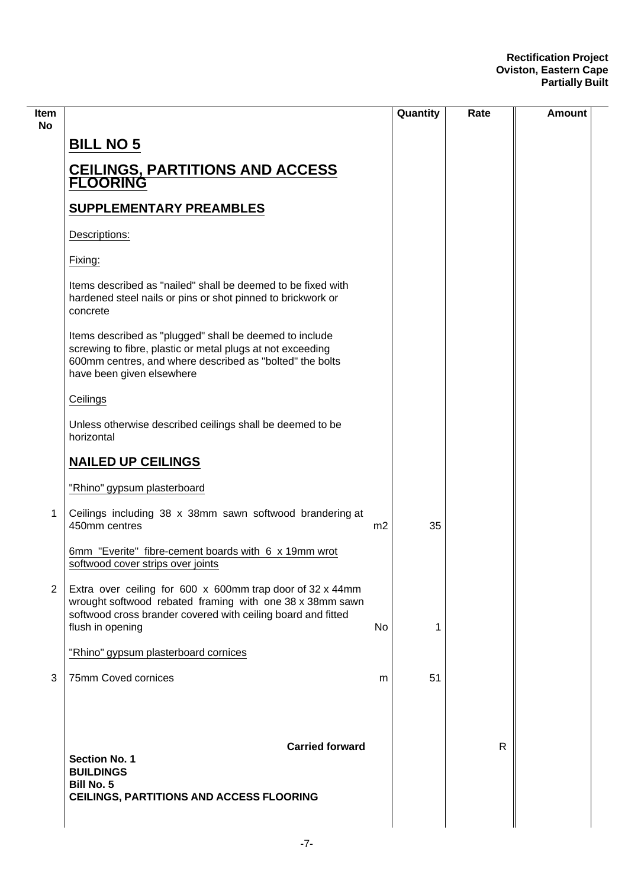| ltem<br>No     |                                                                                                                                                                                                                |                | Quantity | Rate | Amount |
|----------------|----------------------------------------------------------------------------------------------------------------------------------------------------------------------------------------------------------------|----------------|----------|------|--------|
|                | <b>BILL NO 5</b>                                                                                                                                                                                               |                |          |      |        |
|                | <b>CEILINGS, PARTITIONS AND ACCESS<br/>FLOORING</b>                                                                                                                                                            |                |          |      |        |
|                | <b>SUPPLEMENTARY PREAMBLES</b>                                                                                                                                                                                 |                |          |      |        |
|                | Descriptions:                                                                                                                                                                                                  |                |          |      |        |
|                | Fixing:                                                                                                                                                                                                        |                |          |      |        |
|                | Items described as "nailed" shall be deemed to be fixed with<br>hardened steel nails or pins or shot pinned to brickwork or<br>concrete                                                                        |                |          |      |        |
|                | Items described as "plugged" shall be deemed to include<br>screwing to fibre, plastic or metal plugs at not exceeding<br>600mm centres, and where described as "bolted" the bolts<br>have been given elsewhere |                |          |      |        |
|                | Ceilings                                                                                                                                                                                                       |                |          |      |        |
|                | Unless otherwise described ceilings shall be deemed to be<br>horizontal                                                                                                                                        |                |          |      |        |
|                | <b>NAILED UP CEILINGS</b>                                                                                                                                                                                      |                |          |      |        |
|                | "Rhino" gypsum plasterboard                                                                                                                                                                                    |                |          |      |        |
| 1              | Ceilings including 38 x 38mm sawn softwood brandering at<br>450mm centres                                                                                                                                      | m <sub>2</sub> | 35       |      |        |
|                | 6mm "Everite" fibre-cement boards with 6 x 19mm wrot<br>softwood cover strips over joints                                                                                                                      |                |          |      |        |
| $\overline{2}$ | Extra over ceiling for 600 x 600mm trap door of 32 x 44mm<br>wrought softwood rebated framing with one 38 x 38mm sawn<br>softwood cross brander covered with ceiling board and fitted<br>flush in opening      | No             | 1        |      |        |
|                | "Rhino" gypsum plasterboard cornices                                                                                                                                                                           |                |          |      |        |
| 3              | 75mm Coved cornices                                                                                                                                                                                            | m              | 51       |      |        |
|                | <b>Carried forward</b><br><b>Section No. 1</b><br><b>BUILDINGS</b><br><b>Bill No. 5</b><br>CEILINGS, PARTITIONS AND ACCESS FLOORING                                                                            |                |          | R    |        |
|                |                                                                                                                                                                                                                |                |          |      |        |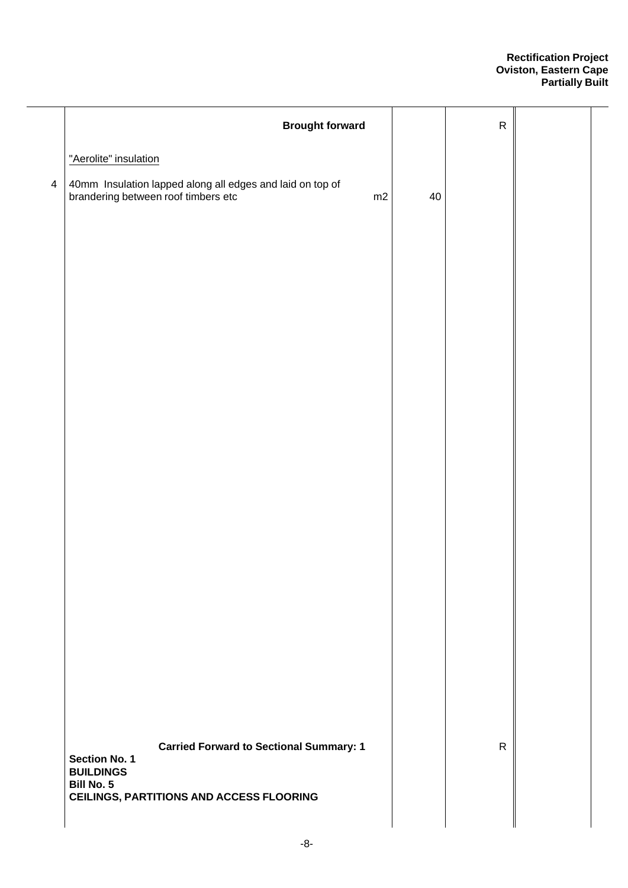|                | <b>Brought forward</b>                                                                                 |    | ${\sf R}$    |  |
|----------------|--------------------------------------------------------------------------------------------------------|----|--------------|--|
|                | "Aerolite" insulation                                                                                  |    |              |  |
| $\overline{4}$ | 40mm Insulation lapped along all edges and laid on top of<br>brandering between roof timbers etc<br>m2 | 40 |              |  |
|                |                                                                                                        |    |              |  |
|                |                                                                                                        |    |              |  |
|                |                                                                                                        |    |              |  |
|                |                                                                                                        |    |              |  |
|                |                                                                                                        |    |              |  |
|                |                                                                                                        |    |              |  |
|                |                                                                                                        |    |              |  |
|                |                                                                                                        |    |              |  |
|                |                                                                                                        |    |              |  |
|                |                                                                                                        |    |              |  |
|                |                                                                                                        |    |              |  |
|                |                                                                                                        |    |              |  |
|                |                                                                                                        |    |              |  |
|                |                                                                                                        |    |              |  |
|                |                                                                                                        |    |              |  |
|                |                                                                                                        |    |              |  |
|                | <b>Carried Forward to Sectional Summary: 1</b><br>Section No. 1<br><b>BUILDINGS</b>                    |    | $\mathsf{R}$ |  |
|                | <b>Bill No. 5</b><br><b>CEILINGS, PARTITIONS AND ACCESS FLOORING</b>                                   |    |              |  |
|                |                                                                                                        |    |              |  |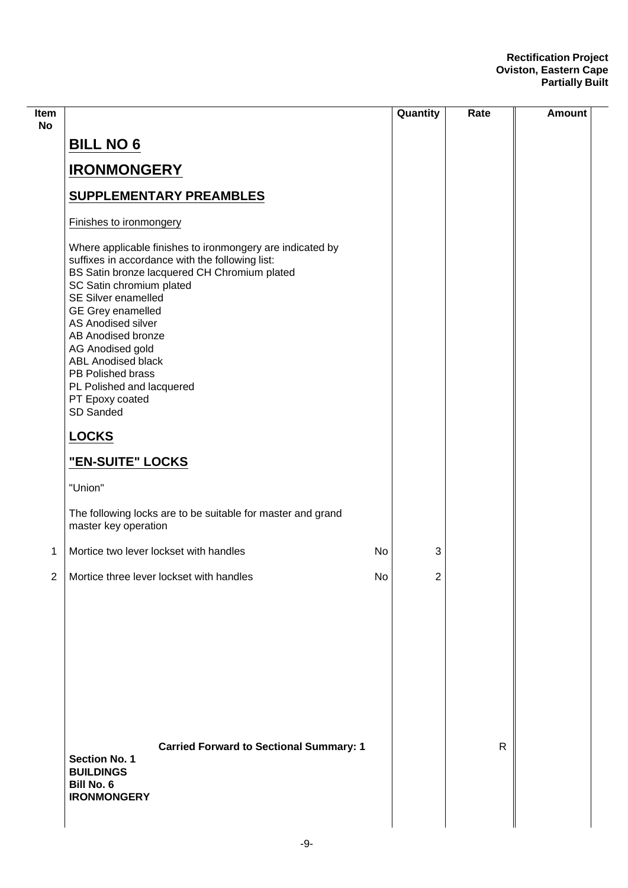| Item<br><b>No</b> |                                                                                                                                                                                                                                                                                                                                                                                                                                   | Quantity | Rate | <b>Amount</b> |
|-------------------|-----------------------------------------------------------------------------------------------------------------------------------------------------------------------------------------------------------------------------------------------------------------------------------------------------------------------------------------------------------------------------------------------------------------------------------|----------|------|---------------|
|                   | <b>BILL NO 6</b>                                                                                                                                                                                                                                                                                                                                                                                                                  |          |      |               |
|                   | <b>IRONMONGERY</b>                                                                                                                                                                                                                                                                                                                                                                                                                |          |      |               |
|                   | <b>SUPPLEMENTARY PREAMBLES</b>                                                                                                                                                                                                                                                                                                                                                                                                    |          |      |               |
|                   | Finishes to ironmongery                                                                                                                                                                                                                                                                                                                                                                                                           |          |      |               |
|                   | Where applicable finishes to ironmongery are indicated by<br>suffixes in accordance with the following list:<br>BS Satin bronze lacquered CH Chromium plated<br>SC Satin chromium plated<br>SE Silver enamelled<br><b>GE Grey enamelled</b><br>AS Anodised silver<br>AB Anodised bronze<br>AG Anodised gold<br><b>ABL Anodised black</b><br>PB Polished brass<br>PL Polished and lacquered<br>PT Epoxy coated<br><b>SD Sanded</b> |          |      |               |
|                   | <b>LOCKS</b>                                                                                                                                                                                                                                                                                                                                                                                                                      |          |      |               |
|                   | "EN-SUITE" LOCKS                                                                                                                                                                                                                                                                                                                                                                                                                  |          |      |               |
|                   | "Union"                                                                                                                                                                                                                                                                                                                                                                                                                           |          |      |               |
|                   | The following locks are to be suitable for master and grand<br>master key operation                                                                                                                                                                                                                                                                                                                                               |          |      |               |
| 1                 | Mortice two lever lockset with handles<br>No                                                                                                                                                                                                                                                                                                                                                                                      | 3        |      |               |
| $\mathbf{2}$      | No<br>Mortice three lever lockset with handles                                                                                                                                                                                                                                                                                                                                                                                    | 2        |      |               |
|                   | <b>Carried Forward to Sectional Summary: 1</b><br><b>Section No. 1</b><br><b>BUILDINGS</b>                                                                                                                                                                                                                                                                                                                                        |          | R    |               |
|                   | Bill No. 6<br><b>IRONMONGERY</b>                                                                                                                                                                                                                                                                                                                                                                                                  |          |      |               |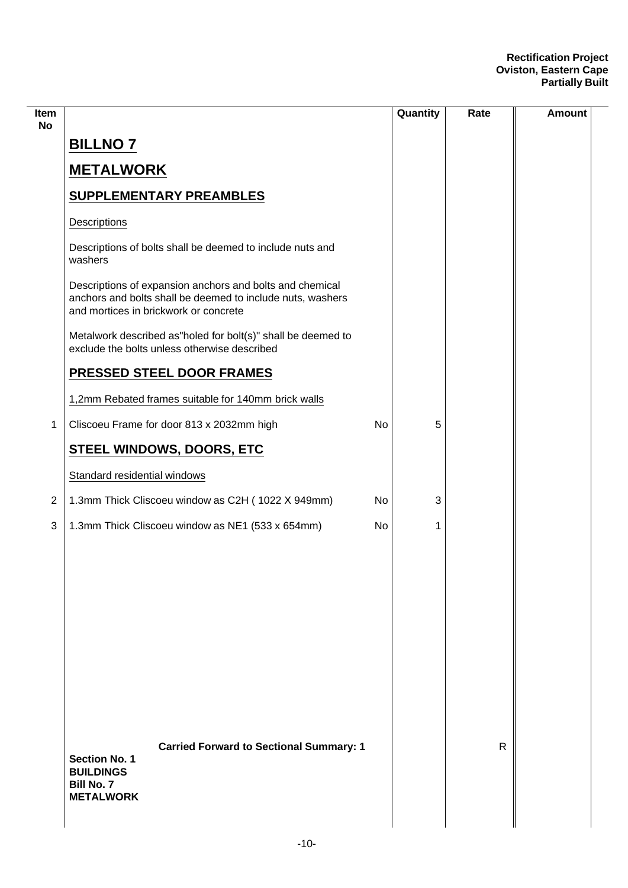| Item<br>No     |                                                                                                                                                                 |    | Quantity | Rate         | <b>Amount</b> |
|----------------|-----------------------------------------------------------------------------------------------------------------------------------------------------------------|----|----------|--------------|---------------|
|                | <b>BILLNO 7</b>                                                                                                                                                 |    |          |              |               |
|                | <b>METALWORK</b>                                                                                                                                                |    |          |              |               |
|                | <b>SUPPLEMENTARY PREAMBLES</b>                                                                                                                                  |    |          |              |               |
|                | Descriptions                                                                                                                                                    |    |          |              |               |
|                | Descriptions of bolts shall be deemed to include nuts and<br>washers                                                                                            |    |          |              |               |
|                | Descriptions of expansion anchors and bolts and chemical<br>anchors and bolts shall be deemed to include nuts, washers<br>and mortices in brickwork or concrete |    |          |              |               |
|                | Metalwork described as"holed for bolt(s)" shall be deemed to<br>exclude the bolts unless otherwise described                                                    |    |          |              |               |
|                | <b>PRESSED STEEL DOOR FRAMES</b>                                                                                                                                |    |          |              |               |
|                | 1,2mm Rebated frames suitable for 140mm brick walls                                                                                                             |    |          |              |               |
| 1              | Cliscoeu Frame for door 813 x 2032mm high                                                                                                                       | No | 5        |              |               |
|                | <b>STEEL WINDOWS, DOORS, ETC</b>                                                                                                                                |    |          |              |               |
|                | Standard residential windows                                                                                                                                    |    |          |              |               |
| $\overline{2}$ | 1.3mm Thick Cliscoeu window as C2H (1022 X 949mm)                                                                                                               | No | 3        |              |               |
| 3              | 1.3mm Thick Cliscoeu window as NE1 (533 x 654mm)                                                                                                                | No | 1        |              |               |
|                |                                                                                                                                                                 |    |          |              |               |
|                |                                                                                                                                                                 |    |          |              |               |
|                |                                                                                                                                                                 |    |          |              |               |
|                |                                                                                                                                                                 |    |          |              |               |
|                |                                                                                                                                                                 |    |          |              |               |
|                |                                                                                                                                                                 |    |          |              |               |
|                |                                                                                                                                                                 |    |          |              |               |
|                |                                                                                                                                                                 |    |          |              |               |
|                | <b>Carried Forward to Sectional Summary: 1</b><br><b>Section No. 1</b><br><b>BUILDINGS</b><br><b>Bill No. 7</b><br><b>METALWORK</b>                             |    |          | $\mathsf{R}$ |               |
|                |                                                                                                                                                                 |    |          |              |               |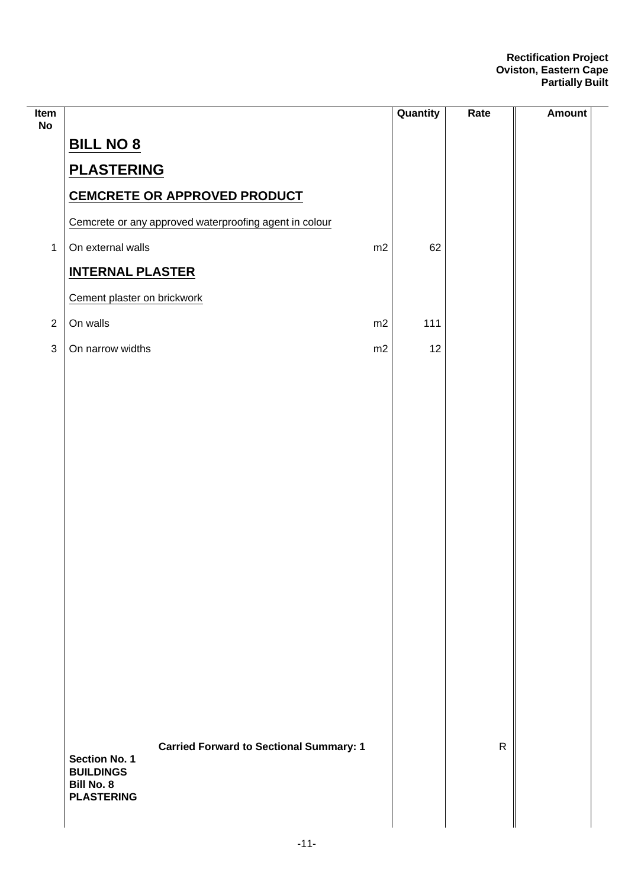| Item<br><b>No</b> |                                                                        |    | Quantity | Rate         | <b>Amount</b> |
|-------------------|------------------------------------------------------------------------|----|----------|--------------|---------------|
|                   | <b>BILL NO 8</b>                                                       |    |          |              |               |
|                   | <b>PLASTERING</b>                                                      |    |          |              |               |
|                   | <b>CEMCRETE OR APPROVED PRODUCT</b>                                    |    |          |              |               |
|                   | Cemcrete or any approved waterproofing agent in colour                 |    |          |              |               |
| $\mathbf 1$       | On external walls                                                      | m2 | 62       |              |               |
|                   | <b>INTERNAL PLASTER</b>                                                |    |          |              |               |
|                   | Cement plaster on brickwork                                            |    |          |              |               |
| $\overline{2}$    | On walls                                                               | m2 | 111      |              |               |
| $\sqrt{3}$        | On narrow widths                                                       | m2 | 12       |              |               |
|                   |                                                                        |    |          |              |               |
|                   |                                                                        |    |          |              |               |
|                   |                                                                        |    |          |              |               |
|                   |                                                                        |    |          |              |               |
|                   |                                                                        |    |          |              |               |
|                   |                                                                        |    |          |              |               |
|                   |                                                                        |    |          |              |               |
|                   |                                                                        |    |          |              |               |
|                   |                                                                        |    |          |              |               |
|                   |                                                                        |    |          |              |               |
|                   |                                                                        |    |          |              |               |
|                   |                                                                        |    |          |              |               |
|                   |                                                                        |    |          |              |               |
|                   |                                                                        |    |          |              |               |
|                   |                                                                        |    |          |              |               |
|                   | <b>Carried Forward to Sectional Summary: 1</b><br><b>Section No. 1</b> |    |          | $\mathsf{R}$ |               |
|                   | <b>BUILDINGS</b><br><b>Bill No. 8</b>                                  |    |          |              |               |
|                   | <b>PLASTERING</b>                                                      |    |          |              |               |
|                   |                                                                        |    |          |              |               |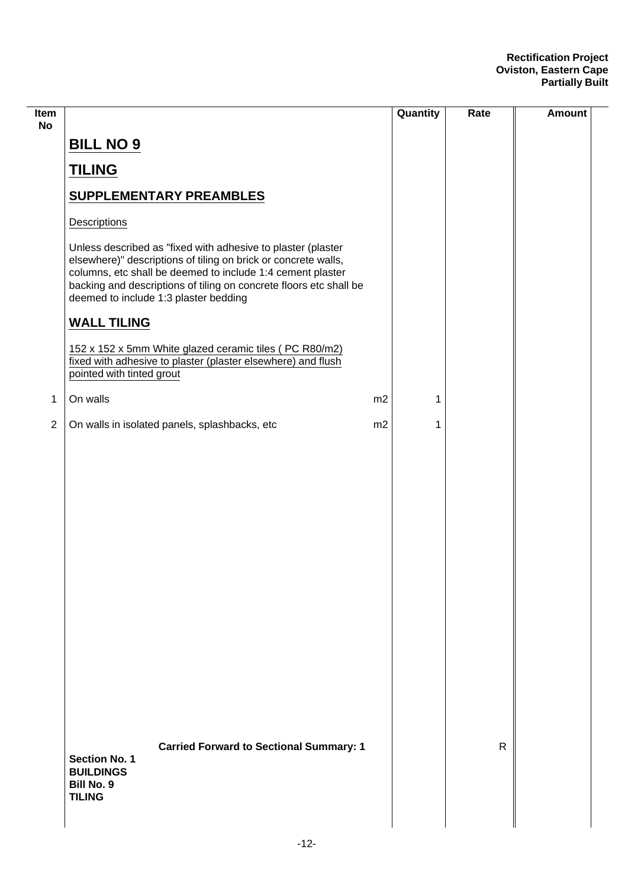| Item<br><b>No</b> |                                                                                                                                                                                                                                                                                                             |    | Quantity | Rate         | <b>Amount</b> |
|-------------------|-------------------------------------------------------------------------------------------------------------------------------------------------------------------------------------------------------------------------------------------------------------------------------------------------------------|----|----------|--------------|---------------|
|                   | <b>BILL NO 9</b>                                                                                                                                                                                                                                                                                            |    |          |              |               |
|                   | <b>TILING</b>                                                                                                                                                                                                                                                                                               |    |          |              |               |
|                   | <b>SUPPLEMENTARY PREAMBLES</b>                                                                                                                                                                                                                                                                              |    |          |              |               |
|                   | Descriptions                                                                                                                                                                                                                                                                                                |    |          |              |               |
|                   | Unless described as "fixed with adhesive to plaster (plaster<br>elsewhere)" descriptions of tiling on brick or concrete walls,<br>columns, etc shall be deemed to include 1:4 cement plaster<br>backing and descriptions of tiling on concrete floors etc shall be<br>deemed to include 1:3 plaster bedding |    |          |              |               |
|                   | <b>WALL TILING</b>                                                                                                                                                                                                                                                                                          |    |          |              |               |
|                   | 152 x 152 x 5mm White glazed ceramic tiles (PC R80/m2)<br>fixed with adhesive to plaster (plaster elsewhere) and flush<br>pointed with tinted grout                                                                                                                                                         |    |          |              |               |
| $\mathbf 1$       | On walls                                                                                                                                                                                                                                                                                                    | m2 | 1        |              |               |
| $\overline{2}$    | On walls in isolated panels, splashbacks, etc                                                                                                                                                                                                                                                               | m2 | 1        |              |               |
|                   |                                                                                                                                                                                                                                                                                                             |    |          |              |               |
|                   |                                                                                                                                                                                                                                                                                                             |    |          |              |               |
|                   |                                                                                                                                                                                                                                                                                                             |    |          |              |               |
|                   |                                                                                                                                                                                                                                                                                                             |    |          |              |               |
|                   |                                                                                                                                                                                                                                                                                                             |    |          |              |               |
|                   |                                                                                                                                                                                                                                                                                                             |    |          |              |               |
|                   |                                                                                                                                                                                                                                                                                                             |    |          |              |               |
|                   |                                                                                                                                                                                                                                                                                                             |    |          |              |               |
|                   |                                                                                                                                                                                                                                                                                                             |    |          |              |               |
|                   |                                                                                                                                                                                                                                                                                                             |    |          |              |               |
|                   | <b>Carried Forward to Sectional Summary: 1</b><br><b>Section No. 1</b><br><b>BUILDINGS</b><br><b>Bill No. 9</b><br><b>TILING</b>                                                                                                                                                                            |    |          | $\mathsf{R}$ |               |
|                   |                                                                                                                                                                                                                                                                                                             |    |          |              |               |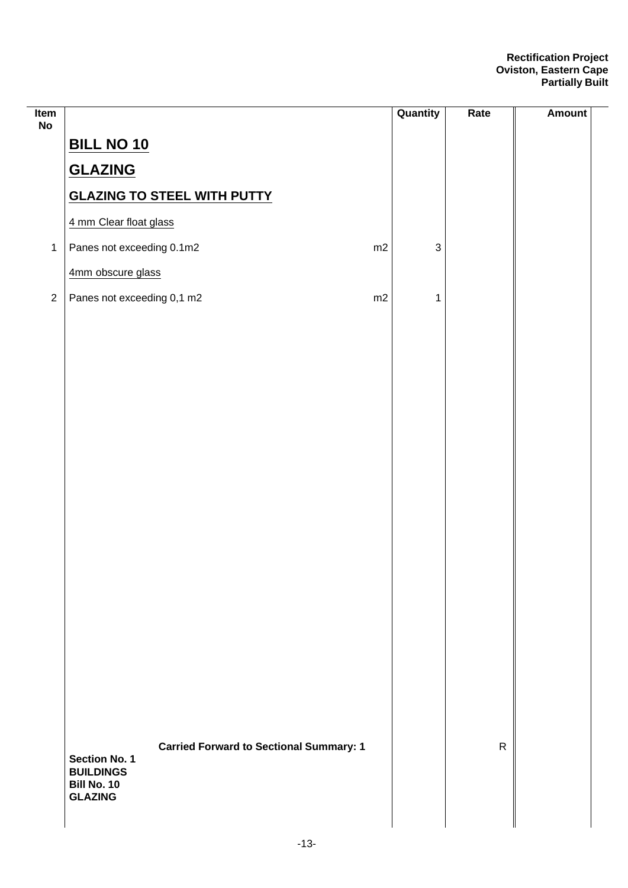| Item<br>No     |                                                | Quantity     | Rate         | <b>Amount</b> |
|----------------|------------------------------------------------|--------------|--------------|---------------|
|                | <b>BILL NO 10</b>                              |              |              |               |
|                | <b>GLAZING</b>                                 |              |              |               |
|                | <b>GLAZING TO STEEL WITH PUTTY</b>             |              |              |               |
|                | 4 mm Clear float glass                         |              |              |               |
| $\mathbf 1$    | Panes not exceeding 0.1m2<br>m2                | $\mathbf{3}$ |              |               |
|                | 4mm obscure glass                              |              |              |               |
| $\overline{2}$ | Panes not exceeding 0,1 m2<br>m2               | 1            |              |               |
|                |                                                |              |              |               |
|                |                                                |              |              |               |
|                |                                                |              |              |               |
|                |                                                |              |              |               |
|                |                                                |              |              |               |
|                |                                                |              |              |               |
|                |                                                |              |              |               |
|                |                                                |              |              |               |
|                |                                                |              |              |               |
|                |                                                |              |              |               |
|                |                                                |              |              |               |
|                |                                                |              |              |               |
|                |                                                |              |              |               |
|                |                                                |              |              |               |
|                |                                                |              |              |               |
|                |                                                |              |              |               |
|                | <b>Carried Forward to Sectional Summary: 1</b> |              | $\mathsf{R}$ |               |
|                | <b>Section No. 1</b><br><b>BUILDINGS</b>       |              |              |               |
|                | Bill No. 10<br><b>GLAZING</b>                  |              |              |               |
|                |                                                |              |              |               |

 $\frac{1}{2}$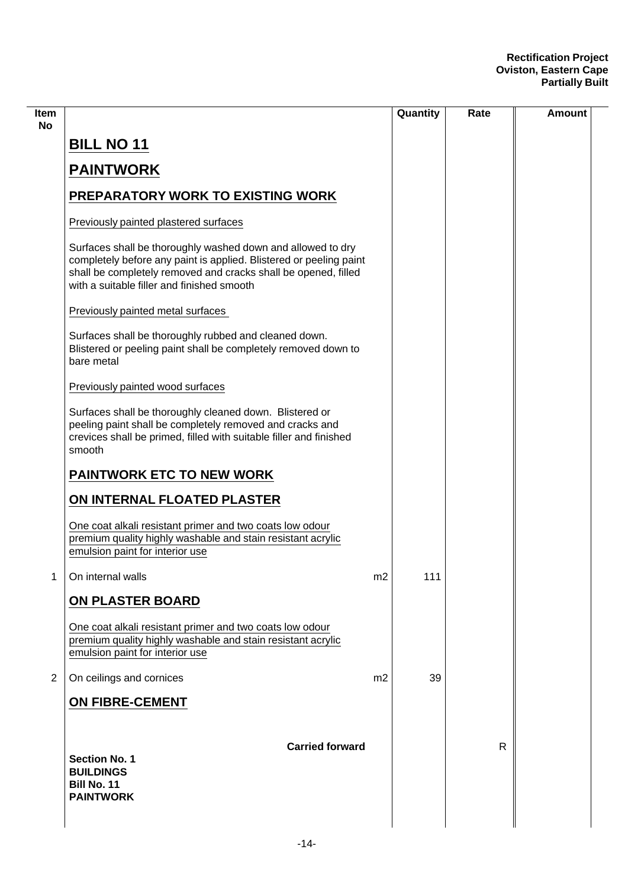| ltem<br>No     |                                                                                                                                                                                                                                                   |                | Quantity | Rate         | Amount |
|----------------|---------------------------------------------------------------------------------------------------------------------------------------------------------------------------------------------------------------------------------------------------|----------------|----------|--------------|--------|
|                | <b>BILL NO 11</b>                                                                                                                                                                                                                                 |                |          |              |        |
|                | <b>PAINTWORK</b>                                                                                                                                                                                                                                  |                |          |              |        |
|                | <b>PREPARATORY WORK TO EXISTING WORK</b>                                                                                                                                                                                                          |                |          |              |        |
|                | Previously painted plastered surfaces                                                                                                                                                                                                             |                |          |              |        |
|                | Surfaces shall be thoroughly washed down and allowed to dry<br>completely before any paint is applied. Blistered or peeling paint<br>shall be completely removed and cracks shall be opened, filled<br>with a suitable filler and finished smooth |                |          |              |        |
|                | Previously painted metal surfaces                                                                                                                                                                                                                 |                |          |              |        |
|                | Surfaces shall be thoroughly rubbed and cleaned down.<br>Blistered or peeling paint shall be completely removed down to<br>bare metal                                                                                                             |                |          |              |        |
|                | Previously painted wood surfaces                                                                                                                                                                                                                  |                |          |              |        |
|                | Surfaces shall be thoroughly cleaned down. Blistered or<br>peeling paint shall be completely removed and cracks and<br>crevices shall be primed, filled with suitable filler and finished<br>smooth                                               |                |          |              |        |
|                | <b>PAINTWORK ETC TO NEW WORK</b>                                                                                                                                                                                                                  |                |          |              |        |
|                | ON INTERNAL FLOATED PLASTER                                                                                                                                                                                                                       |                |          |              |        |
|                | One coat alkali resistant primer and two coats low odour<br>premium quality highly washable and stain resistant acrylic<br>emulsion paint for interior use                                                                                        |                |          |              |        |
| 1              | On internal walls                                                                                                                                                                                                                                 | m2             | 111      |              |        |
|                | ON PLASTER BOARD                                                                                                                                                                                                                                  |                |          |              |        |
|                | One coat alkali resistant primer and two coats low odour<br>premium quality highly washable and stain resistant acrylic<br>emulsion paint for interior use                                                                                        |                |          |              |        |
| $\overline{2}$ | On ceilings and cornices                                                                                                                                                                                                                          | m <sub>2</sub> | 39       |              |        |
|                | <b>ON FIBRE-CEMENT</b>                                                                                                                                                                                                                            |                |          |              |        |
|                | <b>Carried forward</b><br><b>Section No. 1</b><br><b>BUILDINGS</b><br>Bill No. 11<br><b>PAINTWORK</b>                                                                                                                                             |                |          | $\mathsf{R}$ |        |
|                |                                                                                                                                                                                                                                                   |                |          |              |        |

 $\overline{\phantom{0}}$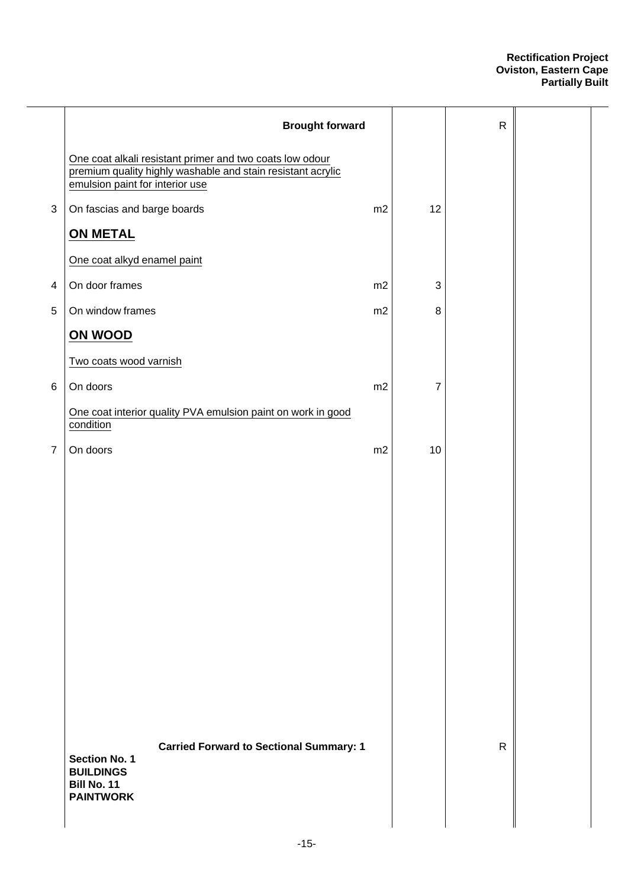|                | <b>Brought forward</b>                                                                                                                                     |    |              | $\mathsf{R}$ |  |
|----------------|------------------------------------------------------------------------------------------------------------------------------------------------------------|----|--------------|--------------|--|
|                | One coat alkali resistant primer and two coats low odour<br>premium quality highly washable and stain resistant acrylic<br>emulsion paint for interior use |    |              |              |  |
| $\mathfrak{B}$ | On fascias and barge boards                                                                                                                                | m2 | 12           |              |  |
|                | <b>ON METAL</b>                                                                                                                                            |    |              |              |  |
|                | One coat alkyd enamel paint                                                                                                                                |    |              |              |  |
| 4              | On door frames                                                                                                                                             | m2 | $\mathbf{3}$ |              |  |
| 5              | On window frames                                                                                                                                           | m2 | 8            |              |  |
|                | ON WOOD                                                                                                                                                    |    |              |              |  |
|                | Two coats wood varnish                                                                                                                                     |    |              |              |  |
| 6              | On doors                                                                                                                                                   | m2 | 7            |              |  |
|                | One coat interior quality PVA emulsion paint on work in good<br>condition                                                                                  |    |              |              |  |
| $\overline{7}$ | On doors                                                                                                                                                   | m2 | 10           |              |  |
|                |                                                                                                                                                            |    |              |              |  |
|                | <b>Carried Forward to Sectional Summary: 1</b><br><b>Section No. 1</b><br><b>BUILDINGS</b><br>Bill No. 11<br><b>PAINTWORK</b>                              |    |              | $\mathsf{R}$ |  |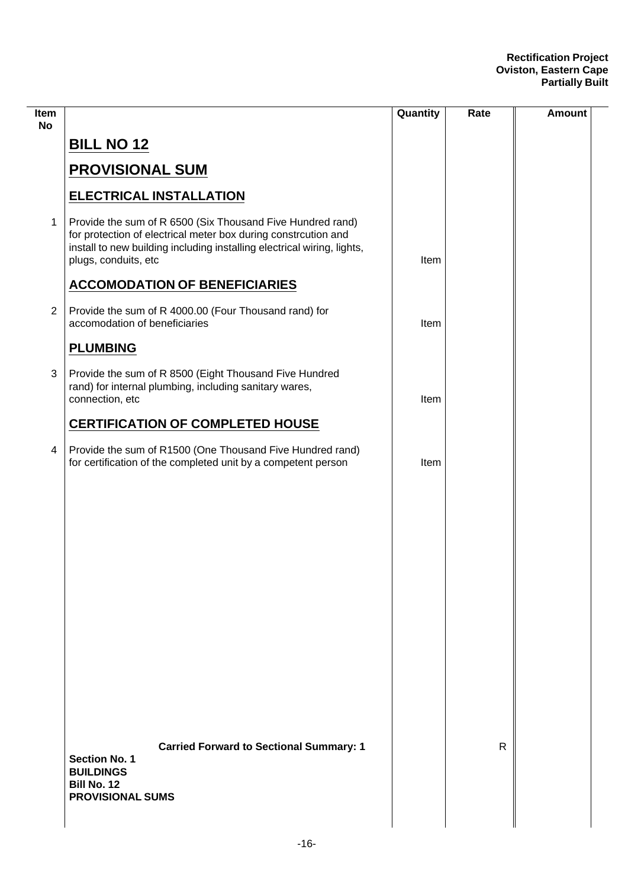| Item<br><b>No</b>       |                                                                                                                                                                                                                                 | Quantity | Rate         | <b>Amount</b> |
|-------------------------|---------------------------------------------------------------------------------------------------------------------------------------------------------------------------------------------------------------------------------|----------|--------------|---------------|
|                         | <b>BILL NO 12</b>                                                                                                                                                                                                               |          |              |               |
|                         | <b>PROVISIONAL SUM</b>                                                                                                                                                                                                          |          |              |               |
|                         | <b>ELECTRICAL INSTALLATION</b>                                                                                                                                                                                                  |          |              |               |
| 1                       | Provide the sum of R 6500 (Six Thousand Five Hundred rand)<br>for protection of electrical meter box during constrcution and<br>install to new building including installing electrical wiring, lights,<br>plugs, conduits, etc | Item     |              |               |
|                         | <b>ACCOMODATION OF BENEFICIARIES</b>                                                                                                                                                                                            |          |              |               |
| $\overline{2}$          | Provide the sum of R 4000.00 (Four Thousand rand) for<br>accomodation of beneficiaries                                                                                                                                          | Item     |              |               |
|                         | <b>PLUMBING</b>                                                                                                                                                                                                                 |          |              |               |
| 3                       | Provide the sum of R 8500 (Eight Thousand Five Hundred<br>rand) for internal plumbing, including sanitary wares,<br>connection, etc                                                                                             | Item     |              |               |
|                         | <b>CERTIFICATION OF COMPLETED HOUSE</b>                                                                                                                                                                                         |          |              |               |
| $\overline{\mathbf{4}}$ | Provide the sum of R1500 (One Thousand Five Hundred rand)<br>for certification of the completed unit by a competent person                                                                                                      | Item     |              |               |
|                         |                                                                                                                                                                                                                                 |          |              |               |
|                         |                                                                                                                                                                                                                                 |          |              |               |
|                         |                                                                                                                                                                                                                                 |          |              |               |
|                         |                                                                                                                                                                                                                                 |          |              |               |
|                         |                                                                                                                                                                                                                                 |          |              |               |
|                         |                                                                                                                                                                                                                                 |          |              |               |
|                         |                                                                                                                                                                                                                                 |          |              |               |
|                         |                                                                                                                                                                                                                                 |          |              |               |
|                         |                                                                                                                                                                                                                                 |          |              |               |
|                         | <b>Carried Forward to Sectional Summary: 1</b><br><b>Section No. 1</b><br><b>BUILDINGS</b><br>Bill No. 12<br><b>PROVISIONAL SUMS</b>                                                                                            |          | $\mathsf{R}$ |               |
|                         |                                                                                                                                                                                                                                 |          |              |               |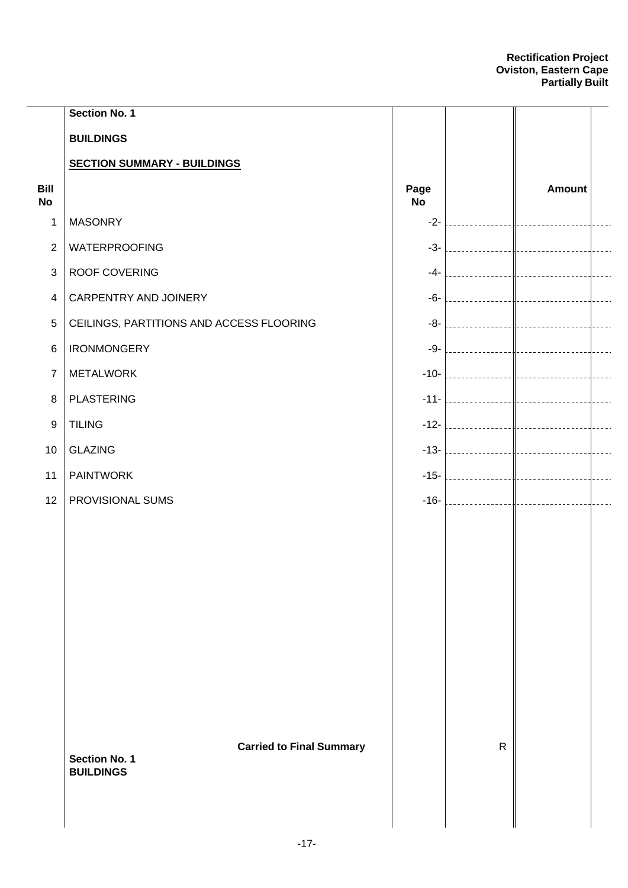|                   | Section No. 1                                                               |                   |              |                                  |                |
|-------------------|-----------------------------------------------------------------------------|-------------------|--------------|----------------------------------|----------------|
|                   | <b>BUILDINGS</b>                                                            |                   |              |                                  |                |
|                   | <b>SECTION SUMMARY - BUILDINGS</b>                                          |                   |              |                                  |                |
| Bill<br><b>No</b> |                                                                             | Page<br><b>No</b> |              | <b>Amount</b>                    |                |
| 1                 | <b>MASONRY</b>                                                              | $-2-$             |              | -------------------------------- |                |
| $\overline{2}$    | <b>WATERPROOFING</b>                                                        | $-3-$             |              |                                  | $- - - -$      |
| $\mathbf{3}$      | <b>ROOF COVERING</b>                                                        | $-4-1$            |              |                                  | $- - - -$      |
| $\overline{4}$    | CARPENTRY AND JOINERY                                                       | $-6-1$            |              |                                  | $\frac{1}{2}$  |
| $\sqrt{5}$        | CEILINGS, PARTITIONS AND ACCESS FLOORING                                    | $-8-1$            |              |                                  | $\frac{1}{2}$  |
| 6                 | <b>IRONMONGERY</b>                                                          | $-9-$             |              |                                  | $- - - -$      |
| $\overline{7}$    | <b>METALWORK</b>                                                            |                   |              |                                  | $\overline{a}$ |
| $\, 8$            | <b>PLASTERING</b>                                                           |                   |              |                                  | $- - - -$      |
| $\boldsymbol{9}$  | <b>TILING</b>                                                               |                   |              |                                  | $- - - -$      |
| 10                | <b>GLAZING</b>                                                              |                   |              |                                  | $- - - -$      |
| 11                | <b>PAINTWORK</b>                                                            |                   |              |                                  | $- - - -$      |
| 12                | PROVISIONAL SUMS                                                            | $-16-$            |              |                                  | $\frac{1}{2}$  |
|                   |                                                                             |                   |              |                                  |                |
|                   |                                                                             |                   |              |                                  |                |
|                   |                                                                             |                   |              |                                  |                |
|                   |                                                                             |                   |              |                                  |                |
|                   |                                                                             |                   |              |                                  |                |
|                   |                                                                             |                   |              |                                  |                |
|                   |                                                                             |                   |              |                                  |                |
|                   |                                                                             |                   |              |                                  |                |
|                   |                                                                             |                   |              |                                  |                |
|                   | <b>Carried to Final Summary</b><br><b>Section No. 1</b><br><b>BUILDINGS</b> |                   | $\mathsf{R}$ |                                  |                |
|                   |                                                                             |                   |              |                                  |                |